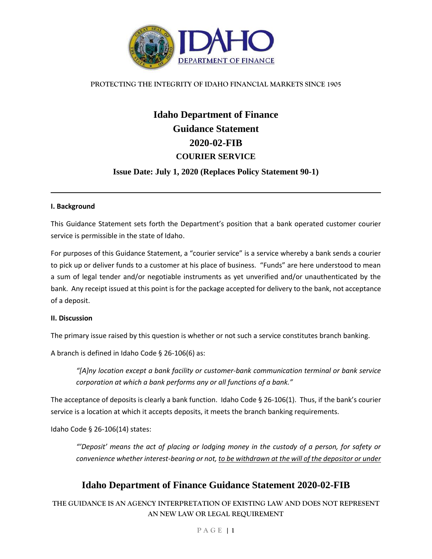

#### **PROTECTING THE INTEGRITY OF IDAHO FINANCIAL MARKETS SINCE 1905**

# **Idaho Department of Finance Guidance Statement 2020-02-FIB COURIER SERVICE**

### **Issue Date: July 1, 2020 (Replaces Policy Statement 90-1)**

#### **I. Background**

This Guidance Statement sets forth the Department's position that a bank operated customer courier service is permissible in the state of Idaho.

For purposes of this Guidance Statement, a "courier service" is a service whereby a bank sends a courier to pick up or deliver funds to a customer at his place of business. "Funds" are here understood to mean a sum of legal tender and/or negotiable instruments as yet unverified and/or unauthenticated by the bank. Any receipt issued at this point is for the package accepted for delivery to the bank, not acceptance of a deposit.

#### **II. Discussion**

The primary issue raised by this question is whether or not such a service constitutes branch banking.

A branch is defined in Idaho Code § 26-106(6) as:

*"[A]ny location except a bank facility or customer-bank communication terminal or bank service corporation at which a bank performs any or all functions of a bank."*

The acceptance of deposits is clearly a bank function. Idaho Code § 26-106(1). Thus, if the bank's courier service is a location at which it accepts deposits, it meets the branch banking requirements.

Idaho Code § 26-106(14) states:

*"'Deposit' means the act of placing or lodging money in the custody of a person, for safety or convenience whether interest-bearing or not, to be withdrawn at the will of the depositor or under* 

# **Idaho Department of Finance Guidance Statement 2020-02-FIB**

**THE GUIDANCE IS AN AGENCY INTERPRETATION OF EXISTING LAW AND DOES NOT REPRESENT AN NEW LAW OR LEGAL REQUIREMENT**